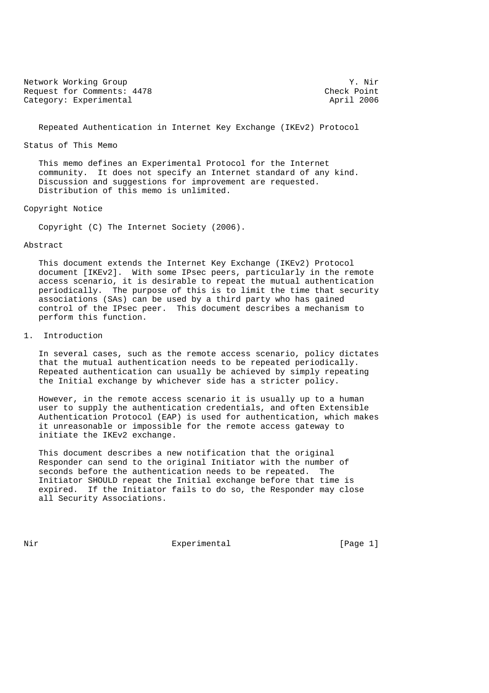Network Working Group 3. November 2012 19: November 2013 Request for Comments: 4478 Check Point<br>
Category: Experimental 2006 Category: Experimental

Repeated Authentication in Internet Key Exchange (IKEv2) Protocol

Status of This Memo

 This memo defines an Experimental Protocol for the Internet community. It does not specify an Internet standard of any kind. Discussion and suggestions for improvement are requested. Distribution of this memo is unlimited.

Copyright Notice

Copyright (C) The Internet Society (2006).

## Abstract

 This document extends the Internet Key Exchange (IKEv2) Protocol document [IKEv2]. With some IPsec peers, particularly in the remote access scenario, it is desirable to repeat the mutual authentication periodically. The purpose of this is to limit the time that security associations (SAs) can be used by a third party who has gained control of the IPsec peer. This document describes a mechanism to perform this function.

# 1. Introduction

 In several cases, such as the remote access scenario, policy dictates that the mutual authentication needs to be repeated periodically. Repeated authentication can usually be achieved by simply repeating the Initial exchange by whichever side has a stricter policy.

 However, in the remote access scenario it is usually up to a human user to supply the authentication credentials, and often Extensible Authentication Protocol (EAP) is used for authentication, which makes it unreasonable or impossible for the remote access gateway to initiate the IKEv2 exchange.

 This document describes a new notification that the original Responder can send to the original Initiator with the number of seconds before the authentication needs to be repeated. The Initiator SHOULD repeat the Initial exchange before that time is expired. If the Initiator fails to do so, the Responder may close all Security Associations.

Nir **Experimental** [Page 1]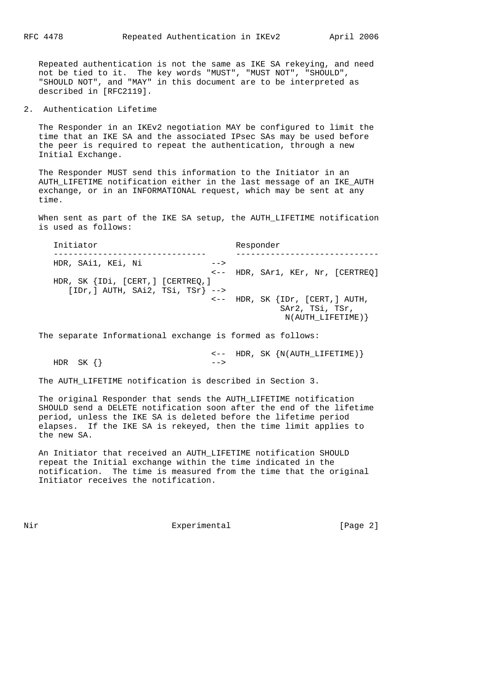Repeated authentication is not the same as IKE SA rekeying, and need not be tied to it. The key words "MUST", "MUST NOT", "SHOULD", "SHOULD NOT", and "MAY" in this document are to be interpreted as described in [RFC2119].

2. Authentication Lifetime

 The Responder in an IKEv2 negotiation MAY be configured to limit the time that an IKE SA and the associated IPsec SAs may be used before the peer is required to repeat the authentication, through a new Initial Exchange.

 The Responder MUST send this information to the Initiator in an AUTH\_LIFETIME notification either in the last message of an IKE\_AUTH exchange, or in an INFORMATIONAL request, which may be sent at any time.

When sent as part of the IKE SA setup, the AUTH LIFETIME notification is used as follows:

 Initiator Responder ------------------------------- ----------------------------- HDR, SAi1, KEi, Ni --> <-- HDR, SAr1, KEr, Nr, [CERTREQ] HDR, SK {IDi, [CERT,] [CERTREQ,]  $[IDr,] AUTH, SAI2, TSi, TSr]$  --> <-- HDR, SK {IDr, [CERT,] AUTH, SAr2, TSi, TSr, N(AUTH\_LIFETIME)}

The separate Informational exchange is formed as follows:

 <-- HDR, SK {N(AUTH\_LIFETIME)}  $HDR \, SK \, \{\}$   $\qquad \qquad -- >$ 

The AUTH LIFETIME notification is described in Section 3.

 The original Responder that sends the AUTH\_LIFETIME notification SHOULD send a DELETE notification soon after the end of the lifetime period, unless the IKE SA is deleted before the lifetime period elapses. If the IKE SA is rekeyed, then the time limit applies to the new SA.

 An Initiator that received an AUTH\_LIFETIME notification SHOULD repeat the Initial exchange within the time indicated in the notification. The time is measured from the time that the original Initiator receives the notification.

Nir **Experimental** Experimental [Page 2]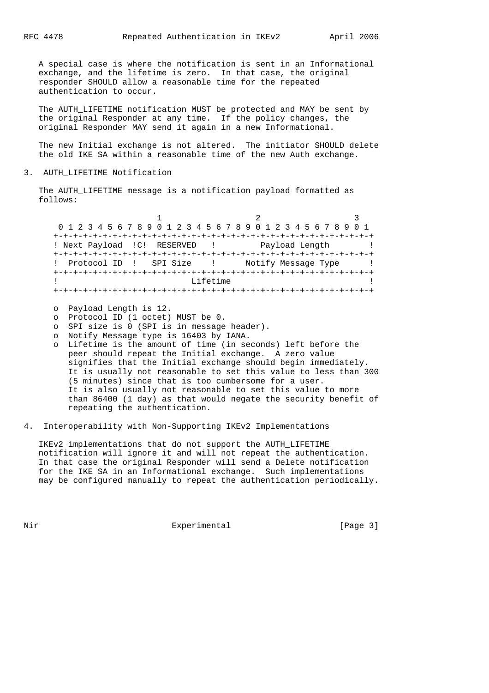A special case is where the notification is sent in an Informational exchange, and the lifetime is zero. In that case, the original responder SHOULD allow a reasonable time for the repeated authentication to occur.

The AUTH LIFETIME notification MUST be protected and MAY be sent by the original Responder at any time. If the policy changes, the original Responder MAY send it again in a new Informational.

 The new Initial exchange is not altered. The initiator SHOULD delete the old IKE SA within a reasonable time of the new Auth exchange.

## 3. AUTH\_LIFETIME Notification

The AUTH LIFETIME message is a notification payload formatted as follows:

1 2 3 0 1 2 3 4 5 6 7 8 9 0 1 2 3 4 5 6 7 8 9 0 1 2 3 4 5 6 7 8 9 0 1 +-+-+-+-+-+-+-+-+-+-+-+-+-+-+-+-+-+-+-+-+-+-+-+-+-+-+-+-+-+-+-+-+ ! Next Payload !C! RESERVED ! Payload Length ! +-+-+-+-+-+-+-+-+-+-+-+-+-+-+-+-+-+-+-+-+-+-+-+-+-+-+-+-+-+-+-+-+ ! Protocol ID ! SPI Size ! Notify Message Type ! +-+-+-+-+-+-+-+-+-+-+-+-+-+-+-+-+-+-+-+-+-+-+-+-+-+-+-+-+-+-+-+-+ ! Lifetime ! +-+-+-+-+-+-+-+-+-+-+-+-+-+-+-+-+-+-+-+-+-+-+-+-+-+-+-+-+-+-+-+-+

- o Payload Length is 12.
- o Protocol ID (1 octet) MUST be 0.
- o SPI size is 0 (SPI is in message header).
- o Notify Message type is 16403 by IANA.
- o Lifetime is the amount of time (in seconds) left before the peer should repeat the Initial exchange. A zero value signifies that the Initial exchange should begin immediately. It is usually not reasonable to set this value to less than 300 (5 minutes) since that is too cumbersome for a user. It is also usually not reasonable to set this value to more than 86400 (1 day) as that would negate the security benefit of repeating the authentication.
- 4. Interoperability with Non-Supporting IKEv2 Implementations

 IKEv2 implementations that do not support the AUTH\_LIFETIME notification will ignore it and will not repeat the authentication. In that case the original Responder will send a Delete notification for the IKE SA in an Informational exchange. Such implementations may be configured manually to repeat the authentication periodically.

Nir **Experimental** Experimental [Page 3]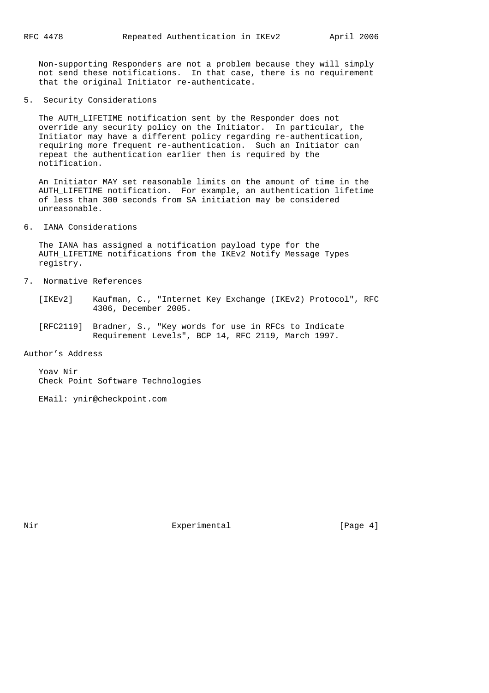Non-supporting Responders are not a problem because they will simply not send these notifications. In that case, there is no requirement that the original Initiator re-authenticate.

5. Security Considerations

 The AUTH\_LIFETIME notification sent by the Responder does not override any security policy on the Initiator. In particular, the Initiator may have a different policy regarding re-authentication, requiring more frequent re-authentication. Such an Initiator can repeat the authentication earlier then is required by the notification.

 An Initiator MAY set reasonable limits on the amount of time in the AUTH\_LIFETIME notification. For example, an authentication lifetime of less than 300 seconds from SA initiation may be considered unreasonable.

6. IANA Considerations

 The IANA has assigned a notification payload type for the AUTH\_LIFETIME notifications from the IKEv2 Notify Message Types registry.

- 7. Normative References
	- [IKEv2] Kaufman, C., "Internet Key Exchange (IKEv2) Protocol", RFC 4306, December 2005.
	- [RFC2119] Bradner, S., "Key words for use in RFCs to Indicate Requirement Levels", BCP 14, RFC 2119, March 1997.

Author's Address

 Yoav Nir Check Point Software Technologies

EMail: ynir@checkpoint.com

Nir **Experimental** Experimental [Page 4]